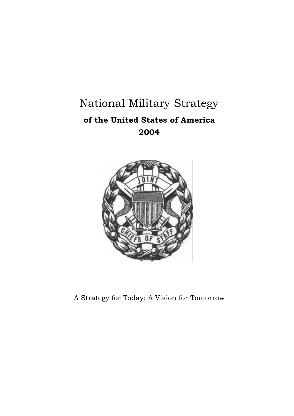# National Military Strategy **of the United States of America 2004**



A Strategy for Today; A Vision for Tomorrow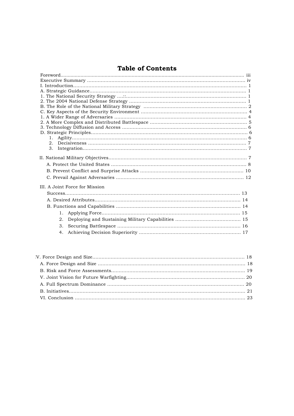# **Table of Contents**

| 1.                             |
|--------------------------------|
| 3.                             |
|                                |
|                                |
|                                |
|                                |
|                                |
|                                |
|                                |
| III. A Joint Force for Mission |
|                                |
|                                |
|                                |
| $1_{\cdot}$                    |
| 2.                             |
| 3.                             |
| 4.                             |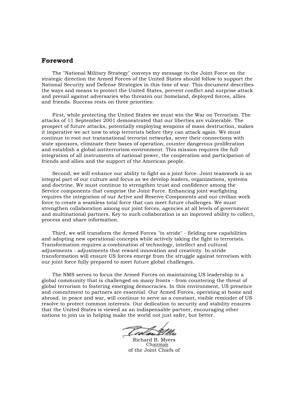### **Foreword**

The "National Military Strategy" conveys my message to the Joint Force on the strategic direction the Armed Forces of the United States should follow to support the National Security and Defense Strategies in this time of war. This document describes the ways and means to protect the United States, prevent conflict and surprise attack and prevail against adversaries who threaten our homeland, deployed forces, allies and friends. Success rests on three priorities:

First, while protecting the United States we must win the War on Terrorism. The attacks of 11 September 2001 demonstrated that our liberties are vulnerable. The prospect of future attacks, potentially employing weapons of mass destruction, makes it imperative we act now to stop terrorists before they can attack again. We must continue to root out transnational terrorist networks, sever their connections with state sponsors, eliminate their bases of operation, counter dangerous proliferation and establish a global antiterrorism environment. This mission requires the full integration of all instruments of national power, the cooperation and participation of friends and allies and the support of the American people.

Second, we will enhance our ability to fight as a joint force. Joint teamwork is an integral part of our culture and focus as we develop leaders, organizations, systems and doctrine. We must continue to strengthen trust and confidence among the Service components that comprise the Joint Force. Enhancing joint warfighting requires the integration of our Active and Reserve Components and our civilian work force to create a seamless total force that can meet future challenges. We must strengthen collaboration among our joint forces, agencies at all levels of government and multinational partners. Key to such collaboration is an improved ability to collect, process and share information.

Third, we will transform the Armed Forces "in stride" - fielding new capabilities and adopting new operational concepts while actively taking the fight to terrorists. Transformation requires a combination of technology, intellect and cultural adjustments - adjustments that reward innovation and creativity. In-stride transformation will ensure US forces emerge from the struggle against terrorism with our joint force fully prepared to meet future global challenges.

The NMS serves to focus the Armed Forces on maintaining US leadership in a global community that is challenged on many fronts - from countering the threat of global terrorism to fostering emerging democracies. In this environment, US presence and commitment to partners are essential. Our Armed Forces, operating at home and abroad, in peace and war, will continue to serve as a constant, visible reminder of US resolve to protect common interests. Our dedication to security and stability ensures that the United States is viewed as an indispensable partner, encouraging other nations to join us in helping make the world not just safer, but better.

Richard B. Myers Chairman of the Joint Chiefs of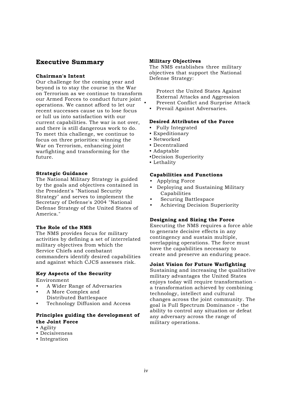# **Executive Summary**

#### **Chairman's Intent**

Our challenge for the coming year and beyond is to stay the course in the War on Terrorism as we continue to transform our Armed Forces to conduct future joint operations. We cannot afford to let our recent successes cause us to lose focus or lull us into satisfaction with our current capabilities. The war is not over, and there is still dangerous work to do. To meet this challenge, we continue to focus on three priorities: winning the War on Terrorism, enhancing joint warfighting and transforming for the future.

#### **Strategic Guidance**

The National Military Strategy is guided by the goals and objectives contained in the President's "National Security Strategy" and serves to implement the Secretary of Defense's 2004 "National Defense Strategy of the United States of America."

#### **The Role of the NMS**

The NMS provides focus for military activities by defining a set of interrelated military objectives from which the Service Chiefs and combatant commanders identify desired capabilities and against which CJCS assesses risk.

#### **Key Aspects of the Security**

Environment

- A Wider Range of Adversaries
- A More Complex and Distributed Battlespace
- Technology Diffusion and Access

### **Principles guiding the development of the Joint Force**

- Agility
- Decisiveness
- Integration

#### **Military Objectives**

The NMS establishes three military objectives that support the National Defense Strategy:

Protect the United States Against External Attacks and Aggression • Prevent Conflict and Surprise Attack

• Prevail Against Adversaries.

#### **Desired Attributes of the Force**

- Fully Integrated
- Expeditionary
- Networked
- Decentralized
- Adaptable
- •Decision Superiority
- Lethality

#### **Capabilities and Functions**

- Applying Force
- Deploying and Sustaining Military Capabilities
- Securing Battlespace
- Achieving Decision Superiority

#### **Designing and Sizing the Force**

Executing the NMS requires a force able to generate decisive effects in any contingency and sustain multiple, overlapping operations. The force must have the capabilities necessary to create and preserve an enduring peace.

#### **Joint Vision for Future Warfighting**

Sustaining and increasing the qualitative military advantages the United States enjoys today will require transformation a transformation achieved by combining technology, intellect and cultural changes across the joint community. The goal is Full Spectrum Dominance - the ability to control any situation or defeat any adversary across the range of military operations.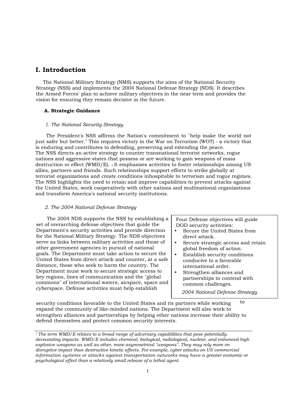# **I. Introduction**

The National Military Strategy (NMS) supports the aims of the National Security Strategy (NSS) and implements the 2004 National Defense Strategy (NDS). It describes the Armed Forces' plan to achieve military objectives in the near term and provides the vision for ensuring they remain decisive in the future.

#### **A. Strategic Guidance**

#### *1. The National Security Strategy*

The President's NSS affirms the Nation's commitment to "help make the world not just safer but better." This requires victory in the War on Terrorism (WOT) - a victory that is enduring and contributes to defending, preserving and extending the peace. The NSS directs an active strategy to counter transnational terrorist networks, rogue nations and aggressive states that possess or are working to gain weapons of mass destruction or effect (WMD/E). 1 It emphasizes activities to foster relationships among US allies, partners and friends. Such relationships support efforts to strike globally at terrorist organizations and create conditions inhospitable to terrorism and rogue regimes. The NSS highlights the need to retain and improve capabilities to prevent attacks against the United States, work cooperatively with other nations and multinational organizations and transform America's national security institutions.

#### *2. The 2004 National Defense Strategy*

The 2004 NDS supports the NSS by establishing a set of overarching defense objectives that guide the Department's security activities and provide direction for the National Military Strategy. The NDS objectives serve as links between military activities and those of other government agencies in pursuit of national goals. The Department must take action to secure the United States from direct attack and counter, at a safe distance, those who seek to harm the country. The Department must work to secure strategic access to key regions, lines of communication and the "global commons" of international waters, airspace, space and cyberspace. Defense activities must help establish

Four Defense objectives will guide DOD security activities:

- Secure the United States from direct attack.
- Secure strategic access and retain global freedom of action.
- Establish security conditions conducive to a favorable international order.
- Strengthen alliances and partnerships to contend with common challenges.

*2004 National Defense Strategy*

security conditions favorable to the United States and its partners while working expand the community of like-minded nations. The Department will also work to strengthen alliances and partnerships by helping other nations increase their ability to defend themselves and protect common security interests. to

*<sup>1</sup>The term WMD/E relates to a broad range of adversary capabilities that pose potentially devastating impacts. WMD/E includes chemical, biological, radiological, nuclear, and enhanced high explosive weapons as well as other, more asymmetrical "weapons". They may rely more on disruptive impact than destructive kinetic effects. For example, cyber attacks on US commercial information systems or attacks against transportation networks may have a greater economic or psychological effect than a relatively small release of a lethal agent.*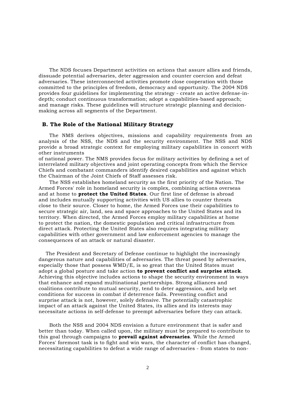The NDS focuses Department activities on actions that assure allies and friends, dissuade potential adversaries, deter aggression and counter coercion and defeat adversaries. These interconnected activities promote close cooperation with those committed to the principles of freedom, democracy and opportunity. The 2004 NDS provides four guidelines for implementing the strategy - create an active defense-indepth; conduct continuous transformation; adopt a capabilities-based approach; and manage risks. These guidelines will structure strategic planning and decisionmaking across all segments of the Department.

#### **B. The Role of the National Military Strategy**

The NMS derives objectives, missions and capability requirements from an analysis of the NSS, the NDS and the security environment. The NSS and NDS provide a broad strategic context for employing military capabilities in concert with other instruments

of national power. The NMS provides focus for military activities by defining a set of interrelated military objectives and joint operating concepts from which the Service Chiefs and combatant commanders identify desired capabilities and against which the Chairman of the Joint Chiefs of Staff assesses risk.

The NSS establishes homeland security as the first priority of the Nation. The Armed Forces' role in homeland security is complex, combining actions overseas and at home to **protect the United States**. Our first line of defense is abroad and includes mutually supporting activities with US allies to counter threats close to their source. Closer to home, the Armed Forces use their capabilities to secure strategic air, land, sea and space approaches to the United States and its territory. When directed, the Armed Forces employ military capabilities at home to protect the nation, the domestic population and critical infrastructure from direct attack. Protecting the United States also requires integrating military capabilities with other government and law enforcement agencies to manage the consequences of an attack or natural disaster.

The President and Secretary of Defense continue to highlight the increasingly dangerous nature and capabilities of adversaries. The threat posed by adversaries, especially those that possess WMD/E, is so great that the United States must adopt a global posture and take action **to prevent conflict and surprise attack**. Achieving this objective includes actions to shape the security environment in ways that enhance and expand multinational partnerships. Strong alliances and coalitions contribute to mutual security, tend to deter aggression, and help set conditions for success in combat if deterrence fails. Preventing conflict and surprise attack is not, however, solely defensive. The potentially catastrophic impact of an attack against the United States, its allies and its interests may necessitate actions in self-defense to preempt adversaries before they can attack.

Both the NSS and 2004 NDS envision a future environment that is safer and better than today. When called upon, the military must be prepared to contribute to this goal through campaigns to **prevail against adversaries**. While the Armed Forces' foremost task is to fight and win wars, the character of conflict has changed, necessitating capabilities to defeat a wide range of adversaries - from states to non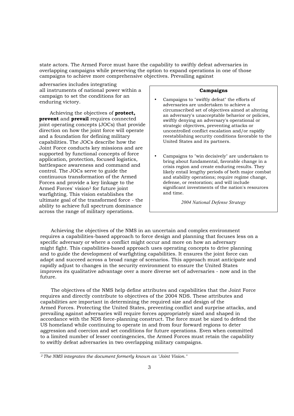state actors. The Armed Force must have the capability to swiftly defeat adversaries in overlapping campaigns while preserving the option to expand operations in one of those campaigns to achieve more comprehensive objectives. Prevailing against

adversaries includes integrating all instruments of national power within a campaign to set the conditions for an enduring victory.

Achieving the objectives of **protect, prevent** and **prevail** requires connected joint operating concepts (JOCs) that provide direction on how the joint force will operate and a foundation for defining military capabilities. The JOCs describe how the Joint Force conducts key missions and are supported by functional concepts of force application, protection, focused logistics, battlespace awareness and command and control. The JOCs serve to guide the continuous transformation of the Armed Forces and provide a key linkage to the Armed Forces' vision2 for future joint warfighting. This vision establishes the ultimate goal of the transformed force - the ability to achieve full spectrum dominance across the range of military operations.

#### **Campaigns**

- Campaigns to "swiftly defeat" the efforts of adversaries are undertaken to achieve a circumscribed set of objectives aimed at altering an adversary's unacceptable behavior or policies, swiftly denying an adversary's operational or strategic objectives, preventing attacks or uncontrolled conflict escalation and/or rapidly reestablishing security conditions favorable to the United States and its partners.
- Campaigns to "win decisively" are undertaken to bring about fundamental, favorable change in a crisis region and create enduring results. They likely entail lengthy periods of both major combat and stability operations; require regime change, defense, or restoration; and will include significant investments of the nation's resources and time.

*2004 National Defense Strategy*

Achieving the objectives of the NMS in an uncertain and complex environment requires a capabilities-based approach to force design and planning that focuses less on a specific adversary or where a conflict might occur and more on how an adversary might fight. This capabilities-based approach uses operating concepts to drive planning and to guide the development of warfighting capabilities. It ensures the joint force can adapt and succeed across a broad range of scenarios. This approach must anticipate and rapidly adjust to changes in the security environment to ensure the United States improves its qualitative advantage over a more diverse set of adversaries - now and in the future.

The objectives of the NMS help define attributes and capabilities that the Joint Force requires and directly contribute to objectives of the 2004 NDS. These attributes and capabilities are important in determining the required size and design of the Armed Forces. Protecting the United States, preventing conflict and surprise attacks, and prevailing against adversaries will require forces appropriately sized and shaped in accordance with the NDS force-planning construct. The force must be sized to defend the US homeland while continuing to operate in and from four forward regions to deter aggression and coercion and set conditions for future operations. Even when committed to a limited number of lesser contingencies, the Armed Forces must retain the capability to swiftly defeat adversaries in two overlapping military campaigns.

*<sup>2</sup>The NMS integrates the document formerly known as "Joint Vision."*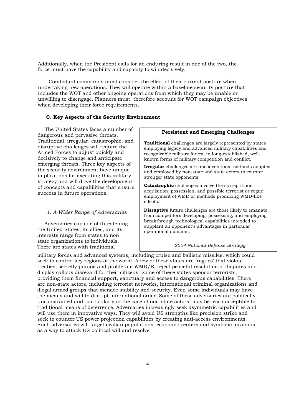Additionally, when the President calls for an enduring result in one of the two, the force must have the capability and capacity to win decisively.

Combatant commands must consider the effect of their current posture when undertaking new operations. They will operate within a baseline security posture that includes the WOT and other ongoing operations from which they may be unable or unwilling to disengage. Planners must, therefore account for WOT campaign objectives when developing their force requirements.

#### **C. Key Aspects of the Security Environment**

The United States faces a number of dangerous and pervasive threats. Traditional, irregular, catastrophic, and disruptive challenges will require the Armed Forces to adjust quickly and decisively to change and anticipate emerging threats. Three key aspects of the security environment have unique implications for executing this military strategy and will drive the development of concepts and capabilities that ensure success in future operations.

#### *1. A Wider Range of Adversaries*

Adversaries capable of threatening the United States, its allies, and its interests range from states to non state organizations to individuals. There are states with traditional

#### **Persistent and Emerging Challenges**

**Traditional** challenges are largely represented by states employing legacy and advanced military capabilities and recognizable military forces, in long-established, wellknown forms of military competition and conflict.

**Irregular** challenges are unconventional methods adopted and employed by non-state and state actors to counter stronger state opponents.

**Catastrophic** challenges involve the surreptitious acquisition, possession, and possible terrorist or rogue employment of WMD or methods producing WMD-like effects.

**Disruptive** future challenges are those likely to emanate from competitors developing, possessing, and employing breakthrough technological capabilities intended to supplant an opponent's advantages in particular operational domains.

*2004 National Defense Strategy*

military forces and advanced systems, including cruise and ballistic missiles, which could seek to control key regions of the world. A few of these states are `rogues' that violate treaties, secretly pursue and proliferate WMD/E, reject peaceful resolution of disputes and display callous disregard for their citizens. Some of these states sponsor terrorists, providing them financial support, sanctuary and access to dangerous capabilities. There are non-state actors, including terrorist networks, international criminal organizations and illegal armed groups that menace stability and security. Even some individuals may have the means and will to disrupt international order. Some of these adversaries are politically unconstrained and, particularly in the case of non-state actors, may be less susceptible to traditional means of deterrence. Adversaries increasingly seek asymmetric capabilities and will use them in innovative ways. They will avoid US strengths like precision strike and seek to counter US power projection capabilities by creating anti-access environments. Such adversaries will target civilian populations, economic centers and symbolic locations as a way to attack US political will and resolve.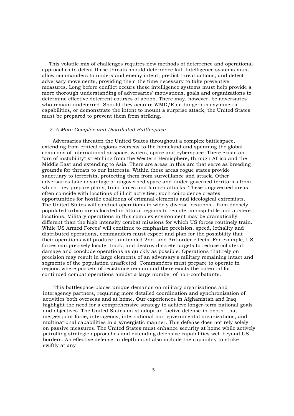This volatile mix of challenges requires new methods of deterrence and operational approaches to defeat these threats should deterrence fail. Intelligence systems must allow commanders to understand enemy intent, predict threat actions, and detect adversary movements, providing them the time necessary to take preventive measures. Long before conflict occurs these intelligence systems must help provide a more thorough understanding of adversaries' motivations, goals and organizations to determine effective deterrent courses of action. There may, however, be adversaries who remain undeterred. Should they acquire WMD/E or dangerous asymmetric capabilities, or demonstrate the intent to mount a surprise attack, the United States must be prepared to prevent them from striking.

#### *2. A More Complex and Distributed Battlespace*

Adversaries threaten the United States throughout a complex battlespace, extending from critical regions overseas to the homeland and spanning the global commons of international airspace, waters, space and cyberspace. There exists an "arc of instability" stretching from the Western Hemisphere, through Africa and the Middle East and extending to Asia. There are areas in this arc that serve as breeding grounds for threats to our interests. Within these areas rogue states provide sanctuary to terrorists, protecting them from surveillance and attack. Other adversaries take advantage of ungoverned space and under-governed territories from which they prepare plans, train forces and launch attacks. These ungoverned areas often coincide with locations of illicit activities; such coincidence creates opportunities for hostile coalitions of criminal elements and ideological extremists. The United States will conduct operations in widely diverse locations - from densely populated urban areas located in littoral regions to remote, inhospitable and austere locations. Military operations in this complex environment may be dramatically different than the high intensity combat missions for which US forces routinely train. While US Armed Forces' will continue to emphasize precision, speed, lethality and distributed operations, commanders must expect and plan for the possibility that their operations will produce unintended 2nd- and 3rd-order effects. For example, US forces can precisely locate, track, and destroy discrete targets to reduce collateral damage and conclude operations as quickly as possible. Operations that rely on precision may result in large elements of an adversary's military remaining intact and segments of the population unaffected. Commanders must prepare to operate in regions where pockets of resistance remain and there exists the potential for continued combat operations amidst a large number of non-combatants.

This battlespace places unique demands on military organizations and interagency partners, requiring more detailed coordination and synchronization of activities both overseas and at home. Our experiences in Afghanistan and Iraq highlight the need for a comprehensive strategy to achieve longer-term national goals and objectives. The United States must adopt an "active defense-in-depth" that merges joint force, interagency, international non-governmental organizations, and multinational capabilities in a synergistic manner. This defense does not rely solely on passive measures. The United States must enhance security at home while actively patrolling strategic approaches and extending defensive capabilities well beyond US borders. An effective defense-in-depth must also include the capability to strike swiftly at any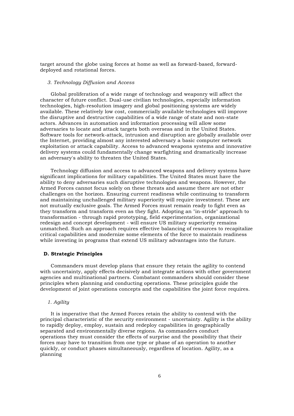target around the globe using forces at home as well as forward-based, forwarddeployed and rotational forces.

#### *3. Technology Diffusion and Access*

Global proliferation of a wide range of technology and weaponry will affect the character of future conflict. Dual-use civilian technologies, especially information technologies, high-resolution imagery and global positioning systems are widely available. These relatively low cost, commercially available technologies will improve the disruptive and destructive capabilities of a wide range of state and non-state actors. Advances in automation and information processing will allow some adversaries to locate and attack targets both overseas and in the United States. Software tools for network-attack, intrusion and disruption are globally available over the Internet, providing almost any interested adversary a basic computer network exploitation or attack capability. Access to advanced weapons systems and innovative delivery systems could fundamentally change warfighting and dramatically increase an adversary's ability to threaten the United States.

Technology diffusion and access to advanced weapons and delivery systems have significant implications for military capabilities. The United States must have the ability to deny adversaries such disruptive technologies and weapons. However, the Armed Forces cannot focus solely on these threats and assume there are not other challenges on the horizon. Ensuring current readiness while continuing to transform and maintaining unchallenged military superiority will require investment. These are not mutually exclusive goals. The Armed Forces must remain ready to fight even as they transform and transform even as they fight. Adopting an "in-stride" approach to transformation - through rapid prototyping, field experimentation, organizational redesign and concept development - will ensure US military superiority remains unmatched. Such an approach requires effective balancing of resources to recapitalize critical capabilities and modernize some elements of the force to maintain readiness while investing in programs that extend US military advantages into the future.

#### **D. Strategic Principles**

Commanders must develop plans that ensure they retain the agility to contend with uncertainty, apply effects decisively and integrate actions with other government agencies and multinational partners. Combatant commanders should consider these principles when planning and conducting operations. These principles guide the development of joint operations concepts and the capabilities the joint force requires.

#### *1. Agility*

It is imperative that the Armed Forces retain the ability to contend with the principal characteristic of the security environment - uncertainty. Agility is the ability to rapidly deploy, employ, sustain and redeploy capabilities in geographically separated and environmentally diverse regions. As commanders conduct operations they must consider the effects of surprise and the possibility that their forces may have to transition from one type or phase of an operation to another quickly, or conduct phases simultaneously, regardless of location. Agility, as a planning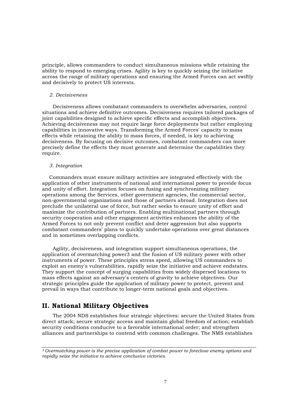principle, allows commanders to conduct simultaneous missions while retaining the ability to respond to emerging crises. Agility is key to quickly seizing the initiative across the range of military operations and ensuring the Armed Forces can act swiftly and decisively to protect US interests.

#### *2. Decisiveness*

Decisiveness allows combatant commanders to overwhelm adversaries, control situations and achieve definitive outcomes. Decisiveness requires tailored packages of joint capabilities designed to achieve specific effects and accomplish objectives. Achieving decisiveness may not require large force deployments but rather employing capabilities in innovative ways. Transforming the Armed Forces' capacity to mass effects while retaining the ability to mass forces, if needed, is key to achieving decisiveness. By focusing on decisive outcomes, combatant commanders can more precisely define the effects they must generate and determine the capabilities they require.

#### *3. Integration*

Commanders must ensure military activities are integrated effectively with the application of other instruments of national and international power to provide focus and unity of effort. Integration focuses on fusing and synchronizing military operations among the Services, other government agencies, the commercial sector, non-governmental organizations and those of partners abroad. Integration does not preclude the unilateral use of force, but rather seeks to ensure unity of effort and maximize the contribution of partners. Enabling multinational partners through security cooperation and other engagement activities enhances the ability of the Armed Forces to not only prevent conflict and deter aggression but also supports combatant commanders' plans to quickly undertake operations over great distances and in sometimes overlapping conflicts.

Agility, decisiveness, and integration support simultaneous operations, the application of overmatching power3 and the fusion of US military power with other instruments of power. These principles stress speed, allowing US commanders to exploit an enemy's vulnerabilities, rapidly seize the initiative and achieve endstates. They support the concept of surging capabilities from widely dispersed locations to mass effects against an adversary's centers of gravity to achieve objectives. Our strategic principles guide the application of military power to protect, prevent and prevail in ways that contribute to longer-term national goals and objectives.

# **II. National Military Objectives**

The 2004 NDS establishes four strategic objectives: secure the United States from direct attack; secure strategic access and maintain global freedom of action; establish security conditions conducive to a favorable international order; and strengthen alliances and partnerships to contend with common challenges. The NMS establishes

*<sup>3</sup>Overmatching power is the precise application of combat power to foreclose enemy options and rapidly seize the initiative to achieve conclusive victories.*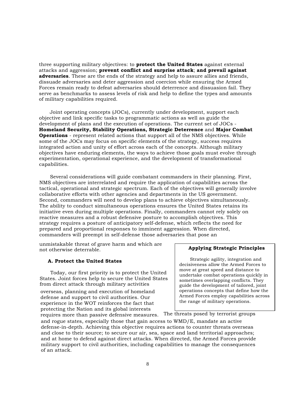three supporting military objectives: to **protect the United States** against external attacks and aggression; **prevent conflict and surprise attack**; **and prevail against adversaries**. These are the ends of the strategy and help to assure allies and friends, dissuade adversaries and deter aggression and coercion while ensuring the Armed Forces remain ready to defeat adversaries should deterrence and dissuasion fail. They serve as benchmarks to assess levels of risk and help to define the types and amounts of military capabilities required.

Joint operating concepts (JOCs), currently under development, support each objective and link specific tasks to programmatic actions as well as guide the development of plans and the execution of operations. The current set of JOCs - **Homeland Security, Stability Operations, Strategic Deterrence** and **Major Combat Operations** - represent related actions that support all of the NMS objectives. While some of the JOCs may focus on specific elements of the strategy, success requires integrated action and unity of effort across each of the concepts. Although military objectives have enduring elements, the ways to achieve those goals must evolve through experimentation, operational experience, and the development of transformational capabilities.

Several considerations will guide combatant commanders in their planning. First, NMS objectives are interrelated and require the application of capabilities across the tactical, operational and strategic spectrum. Each of the objectives will generally involve collaborative efforts with other agencies and departments in the US government. Second, commanders will need to develop plans to achieve objectives simultaneously. The ability to conduct simultaneous operations ensures the United States retains its initiative even during multiple operations. Finally, commanders cannot rely solely on reactive measures and a robust defensive posture to accomplish objectives. This strategy requires a posture of anticipatory self-defense, which reflects the need for prepared and proportional responses to imminent aggression. When directed, commanders will preempt in self-defense those adversaries that pose an

unmistakable threat of grave harm and which are not otherwise deterrable. **Applying Strategic Principles**

#### **A. Protect the United States**

Today, our first priority is to protect the United States. Joint forces help to secure the United States from direct attack through military activities

overseas, planning and execution of homeland defense and support to civil authorities. Our experience in the WOT reinforces the fact that protecting the Nation and its global interests requires more than passive defensive measures. The threats posed by terrorist groups

Strategic agility, integration and decisiveness allow the Armed Forces to move at great speed and distance to undertake combat operations quickly in sometimes overlapping conflicts. They guide the development of tailored, joint operations concepts that define how the Armed Forces employ capabilities across the range of military operations.

and rogue states, especially those that gain access to WMD/E, mandate an active defense-in-depth. Achieving this objective requires actions to counter threats overseas and close to their source; to secure our air, sea, space and land territorial approaches; and at home to defend against direct attacks. When directed, the Armed Forces provide military support to civil authorities, including capabilities to manage the consequences of an attack.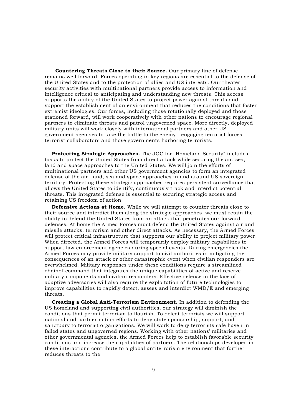**Countering Threats Close to their Source.** Our primary line of defense remains well forward. Forces operating in key regions are essential to the defense of the United States and to the protection of allies and US interests. Our theater security activities with multinational partners provide access to information and intelligence critical to anticipating and understanding new threats. This access supports the ability of the United States to project power against threats and support the establishment of an environment that reduces the conditions that foster extremist ideologies. Our forces, including those rotationally deployed and those stationed forward, will work cooperatively with other nations to encourage regional partners to eliminate threats and patrol ungoverned space. More directly, deployed military units will work closely with international partners and other US government agencies to take the battle to the enemy - engaging terrorist forces, terrorist collaborators and those governments harboring terrorists.

**Protecting Strategic Approaches.** The JOC for "Homeland Security" includes tasks to protect the United States from direct attack while securing the air, sea, land and space approaches to the United States. We will join the efforts of multinational partners and other US government agencies to form an integrated defense of the air, land, sea and space approaches in and around US sovereign territory. Protecting these strategic approaches requires persistent surveillance that allows the United States to identify, continuously track and interdict potential threats. This integrated defense is essential to securing strategic access and retaining US freedom of action.

**Defensive Actions at Home.** While we will attempt to counter threats close to their source and interdict them along the strategic approaches, we must retain the ability to defend the United States from an attack that penetrates our forward defenses. At home the Armed Forces must defend the United States against air and missile attacks, terrorism and other direct attacks. As necessary, the Armed Forces will protect critical infrastructure that supports our ability to project military power. When directed, the Armed Forces will temporarily employ military capabilities to support law enforcement agencies during special events. During emergencies the Armed Forces may provide military support to civil authorities in mitigating the consequences of an attack or other catastrophic event when civilian responders are overwhelmed. Military responses under these conditions require a streamlined chainof-command that integrates the unique capabilities of active and reserve military components and civilian responders. Effective defense in the face of adaptive adversaries will also require the exploitation of future technologies to improve capabilities to rapidly detect, assess and interdict WMD/E and emerging threats.

**Creating a Global Anti-Terrorism Environment.** In addition to defending the US homeland and supporting civil authorities, our strategy will diminish the conditions that permit terrorism to flourish. To defeat terrorists we will support national and partner nation efforts to deny state sponsorship, support, and sanctuary to terrorist organizations. We will work to deny terrorists safe haven in failed states and ungoverned regions. Working with other nations' militaries and other governmental agencies, the Armed Forces help to establish favorable security conditions and increase the capabilities of partners. The relationships developed in these interactions contribute to a global antiterrorism environment that further reduces threats to the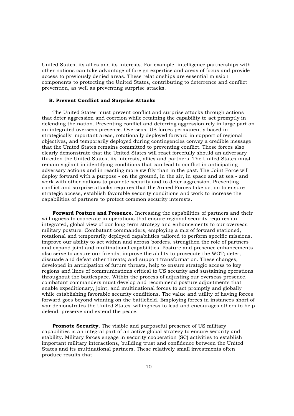United States, its allies and its interests. For example, intelligence partnerships with other nations can take advantage of foreign expertise and areas of focus and provide access to previously denied areas. These relationships are essential mission components to protecting the United States, contributing to deterrence and conflict prevention, as well as preventing surprise attacks.

#### **B. Prevent Conflict and Surprise Attacks**

The United States must prevent conflict and surprise attacks through actions that deter aggression and coercion while retaining the capability to act promptly in defending the nation. Preventing conflict and deterring aggression rely in large part on an integrated overseas presence. Overseas, US forces permanently based in strategically important areas, rotationally deployed forward in support of regional objectives, and temporarily deployed during contingencies convey a credible message that the United States remains committed to preventing conflict. These forces also clearly demonstrate that the United States will react forcefully should an adversary threaten the United States, its interests, allies and partners. The United States must remain vigilant in identifying conditions that can lead to conflict in anticipating adversary actions and in reacting more swiftly than in the past. The Joint Force will deploy forward with a purpose - on the ground, in the air, in space and at sea - and work with other nations to promote security and to deter aggression. Preventing conflict and surprise attacks requires that the Armed Forces take action to ensure strategic access, establish favorable security conditions and work to increase the capabilities of partners to protect common security interests.

**Forward Posture and Presence.** Increasing the capabilities of partners and their willingness to cooperate in operations that ensure regional security requires an integrated, global view of our long-term strategy and enhancements to our overseas military posture. Combatant commanders, employing a mix of forward stationed, rotational and temporarily deployed capabilities tailored to perform specific missions, improve our ability to act within and across borders, strengthen the role of partners and expand joint and multinational capabilities. Posture and presence enhancements also serve to assure our friends; improve the ability to prosecute the WOT; deter, dissuade and defeat other threats; and support transformation. These changes, developed in anticipation of future threats, help to ensure strategic access to key regions and lines of communications critical to US security and sustaining operations throughout the battlespace. Within the process of adjusting our overseas presence, combatant commanders must develop and recommend posture adjustments that enable expeditionary, joint, and multinational forces to act promptly and globally while establishing favorable security conditions. The value and utility of having forces forward goes beyond winning on the battlefield. Employing forces in instances short of war demonstrates the United States' willingness to lead and encourages others to help defend, preserve and extend the peace.

**Promote Security.** The visible and purposeful presence of US military capabilities is an integral part of an active global strategy to ensure security and stability. Military forces engage in security cooperation (SC) activities to establish important military interactions, building trust and confidence between the United States and its multinational partners. These relatively small investments often produce results that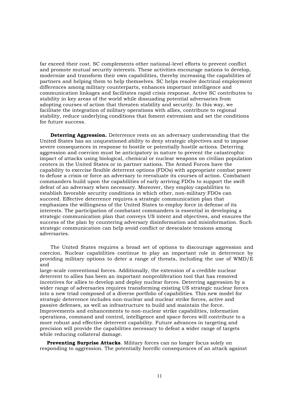far exceed their cost. SC complements other national-level efforts to prevent conflict and promote mutual security interests. These activities encourage nations to develop, modernize and transform their own capabilities, thereby increasing the capabilities of partners and helping them to help themselves. SC helps resolve doctrinal employment differences among military counterparts, enhances important intelligence and communication linkages and facilitates rapid crisis response. Active SC contributes to stability in key areas of the world while dissuading potential adversaries from adopting courses of action that threaten stability and security. In this way, we facilitate the integration of military operations with allies, contribute to regional stability, reduce underlying conditions that foment extremism and set the conditions for future success.

**Deterring Aggression.** Deterrence rests on an adversary understanding that the United States has an unquestioned ability to deny strategic objectives and to impose severe consequences in response to hostile or potentially hostile actions. Deterring aggression and coercion must be anticipatory in nature to prevent the catastrophic impact of attacks using biological, chemical or nuclear weapons on civilian population centers in the United States or in partner nations. The Armed Forces have the capability to exercise flexible deterrent options (FDOs) with appropriate combat power to defuse a crisis or force an adversary to reevaluate its courses of action. Combatant commanders build upon the capabilities of early arriving FDOs to support the swift defeat of an adversary when necessary. Moreover, they employ capabilities to establish favorable security conditions in which other, non-military FDOs can succeed. Effective deterrence requires a strategic communication plan that emphasizes the willingness of the United States to employ force in defense of its interests. The participation of combatant commanders is essential in developing a strategic communication plan that conveys US intent and objectives, and ensures the success of the plan by countering adversary disinformation and misinformation. Such strategic communication can help avoid conflict or deescalate tensions among adversaries.

The United States requires a broad set of options to discourage aggression and coercion. Nuclear capabilities continue to play an important role in deterrence by providing military options to deter a range of threats, including the use of WMD/E and

large-scale conventional forces. Additionally, the extension of a credible nuclear deterrent to allies has been an important nonproliferation tool that has removed incentives for allies to develop and deploy nuclear forces. Deterring aggression by a wider range of adversaries requires transforming existing US strategic nuclear forces into a new triad composed of a diverse portfolio of capabilities. This new model for strategic deterrence includes non-nuclear and nuclear strike forces, active and passive defenses, as well as infrastructure to build and maintain the force. Improvements and enhancements to non-nuclear strike capabilities, information operations, command and control, intelligence and space forces will contribute to a more robust and effective deterrent capability. Future advances in targeting and precision will provide the capabilities necessary to defeat a wider range of targets while reducing collateral damage.

**Preventing Surprise Attacks**. Military forces can no longer focus solely on responding to aggression. The potentially horrific consequences of an attack against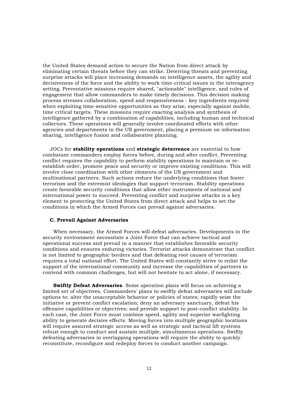the United States demand action to secure the Nation from direct attack by eliminating certain threats before they can strike. Deterring threats and preventing surprise attacks will place increasing demands on intelligence assets, the agility and decisiveness of the force and the ability to work time-critical issues in the interagency setting. Preventative missions require shared, "actionable" intelligence, and rules of engagement that allow commanders to make timely decisions. This decision making process stresses collaboration, speed and responsiveness - key ingredients required when exploiting time-sensitive opportunities as they arise, especially against mobile, time critical targets. These missions require exacting analysis and synthesis of intelligence gathered by a combination of capabilities, including human and technical collectors. These operations will generally involve coordinated efforts with other agencies and departments in the US government, placing a premium on information sharing, intelligence fusion and collaborative planning.

JOCs for **stability operations** and **strategic deterrence** are essential to how combatant commanders employ forces before, during and after conflict. Preventing conflict requires the capability to perform stability operations to maintain or reestablish order, promote peace and security or improve existing conditions. This will involve close coordination with other elements of the US government and multinational partners. Such actions reduce the underlying conditions that foster terrorism and the extremist ideologies that support terrorism. Stability operations create favorable security conditions that allow other instruments of national and international power to succeed. Preventing conflict and surprise attacks is a key element to protecting the United States from direct attack and helps to set the conditions in which the Armed Forces can prevail against adversaries.

#### **C. Prevail Against Adversaries**

When necessary, the Armed Forces will defeat adversaries. Developments in the security environment necessitate a Joint Force that can achieve tactical and operational success and prevail in a manner that establishes favorable security conditions and ensures enduring victories. Terrorist attacks demonstrate that conflict is not limited to geographic borders and that defeating root causes of terrorism requires a total national effort. The United States will constantly strive to enlist the support of the international community and increase the capabilities of partners to contend with common challenges, but will not hesitate to act alone, if necessary.

**Swiftly Defeat Adversaries**. Some operation plans will focus on achieving a limited set of objectives. Commanders' plans to swiftly defeat adversaries will include options to: alter the unacceptable behavior or policies of states; rapidly seize the initiative or prevent conflict escalation; deny an adversary sanctuary, defeat his offensive capabilities or objectives; and provide support to post-conflict stability. In each case, the Joint Force must combine speed, agility and superior warfighting ability to generate decisive effects. Moving forces into multiple geographic locations will require assured strategic access as well as strategic and tactical lift systems robust enough to conduct and sustain multiple, simultaneous operations. Swiftly defeating adversaries in overlapping operations will require the ability to quickly reconstitute, reconfigure and redeploy forces to conduct another campaign.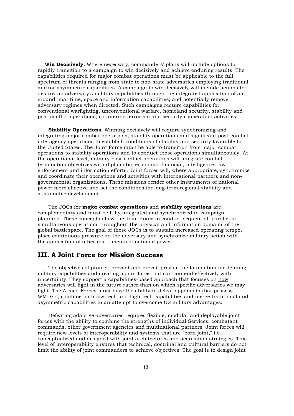**Win Decisively.** Where necessary, commanders' plans will include options to rapidly transition to a campaign to win decisively and achieve enduring results. The capabilities required for major combat operations must be applicable to the full spectrum of threats ranging from state to non-state adversaries employing traditional and/or asymmetric capabilities. A campaign to win decisively will include actions to: destroy an adversary's military capabilities through the integrated application of air, ground, maritime, space and information capabilities; and potentially remove adversary regimes when directed. Such campaigns require capabilities for conventional warfighting, unconventional warfare, homeland security, stability and post-conflict operations, countering terrorism and security cooperation activities.

**Stability Operations.** Winning decisively will require synchronizing and integrating major combat operations, stability operations and significant post-conflict interagency operations to establish conditions of stability and security favorable to the United States. The Joint Force must be able to transition from major combat operations to stability operations and to conduct those operations simultaneously. At the operational level, military post-conflict operations will integrate conflict termination objectives with diplomatic, economic, financial, intelligence, law enforcement and information efforts. Joint forces will, where appropriate, synchronize and coordinate their operations and activities with international partners and nongovernmental organizations. These missions render other instruments of national power more effective and set the conditions for long-term regional stability and sustainable development.

The JOCs for **major combat operations** and **stability operations** are complementary and must be fully integrated and synchronized in campaign planning. These concepts allow the Joint Force to conduct sequential, parallel or simultaneous operations throughout the physical and information domains of the global battlespace. The goal of these JOCs is to sustain increased operating tempo, place continuous pressure on the adversary and synchronize military action with the application of other instruments of national power.

# **III. A Joint Force for Mission Success**

The objectives of protect, prevent and prevail provide the foundation for defining military capabilities and creating a joint force that can contend effectively with uncertainty. They support a capabilities-based approach that focuses on how adversaries will fight in the future rather than on which specific adversaries we may fight. The Armed Forces must have the ability to defeat opponents that possess WMD/E, combine both low-tech and high-tech capabilities and merge traditional and asymmetric capabilities in an attempt to overcome US military advantages.

Defeating adaptive adversaries requires flexible, modular and deployable joint forces with the ability to combine the strengths of individual Services, combatant commands, other government agencies and multinational partners. Joint forces will require new levels of interoperability and systems that are "born joint," i.e., conceptualized and designed with joint architectures and acquisition strategies. This level of interoperability ensures that technical, doctrinal and cultural barriers do not limit the ability of joint commanders to achieve objectives. The goal is to design joint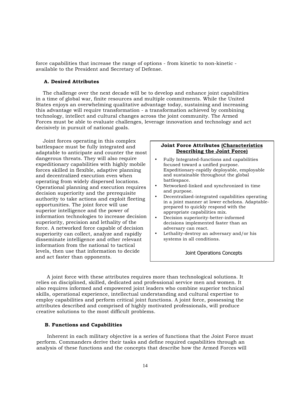force capabilities that increase the range of options - from kinetic to non-kinetic available to the President and Secretary of Defense.

#### **A. Desired Attributes**

The challenge over the next decade will be to develop and enhance joint capabilities in a time of global war, finite resources and multiple commitments. While the United States enjoys an overwhelming qualitative advantage today, sustaining and increasing this advantage will require transformation - a transformation achieved by combining technology, intellect and cultural changes across the joint community. The Armed Forces must be able to evaluate challenges, leverage innovation and technology and act decisively in pursuit of national goals.

Joint forces operating in this complex battlespace must be fully integrated and adaptable to anticipate and counter the most dangerous threats. They will also require expeditionary capabilities with highly mobile forces skilled in flexible, adaptive planning and decentralized execution even when operating from widely dispersed locations. Operational planning and execution requires decision superiority and the prerequisite authority to take actions and exploit fleeting opportunities. The joint force will use superior intelligence and the power of information technologies to increase decision superiority, precision and lethality of the force. A networked force capable of decision superiority can collect, analyze and rapidly disseminate intelligence and other relevant information from the national to tactical levels, then use that information to decide and act faster than opponents.

#### **Joint Force Attributes (Characteristics Describing the Joint Force)**

- Fully Integrated-functions and capabilities focused toward a unified purpose. Expeditionary-rapidly deployable, employable and sustainable throughout the global battlespace.
- Networked-linked and synchronized in time and purpose.
- Decentralized-integrated capabilities operating in a joint manner at lower echelons. Adaptableprepared to quickly respond with the appropriate capabilities mix.
- Decision superiority-better-informed decisions implemented faster than an adversary can react.
- Lethality-destroy an adversary and/or his systems in all conditions.

*Joint Operations Concepts*

A joint force with these attributes requires more than technological solutions. It relies on disciplined, skilled, dedicated and professional service men and women. It also requires informed and empowered joint leaders who combine superior technical skills, operational experience, intellectual understanding and cultural expertise to employ capabilities and perform critical joint functions. A joint force, possessing the attributes described and comprised of highly motivated professionals, will produce creative solutions to the most difficult problems.

#### **B. Functions and Capabilities**

Inherent in each military objective is a series of functions that the Joint Force must perform. Commanders derive their tasks and define required capabilities through an analysis of these functions and the concepts that describe how the Armed Forces will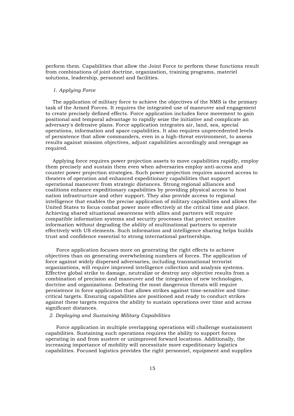perform them. Capabilities that allow the Joint Force to perform these functions result from combinations of joint doctrine, organization, training programs, materiel solutions, leadership, personnel and facilities.

#### *1. Applying Force*

The application of military force to achieve the objectives of the NMS is the primary task of the Armed Forces. It requires the integrated use of maneuver and engagement to create precisely defined effects. Force application includes force movement to gain positional and temporal advantage to rapidly seize the initiative and complicate an adversary's defensive plans. Force application integrates air, land, sea, special operations, information and space capabilities. It also requires unprecedented levels of persistence that allow commanders, even in a high-threat environment, to assess results against mission objectives, adjust capabilities accordingly and reengage as required.

Applying force requires power projection assets to move capabilities rapidly, employ them precisely and sustain them even when adversaries employ anti-access and counter power projection strategies. Such power projection requires assured access to theaters of operation and enhanced expeditionary capabilities that support operational maneuver from strategic distances. Strong regional alliances and coalitions enhance expeditionary capabilities by providing physical access to host nation infrastructure and other support. They also provide access to regional intelligence that enables the precise application of military capabilities and allows the United States to focus combat power more effectively at the critical time and place. Achieving shared situational awareness with allies and partners will require compatible information systems and security processes that protect sensitive information without degrading the ability of multinational partners to operate effectively with US elements. Such information and intelligence sharing helps builds trust and confidence essential to strong international partnerships.

Force application focuses more on generating the right effects to achieve objectives than on generating overwhelming numbers of forces. The application of force against widely dispersed adversaries, including transnational terrorist organizations, will require improved intelligence collection and analysis systems. Effective global strike to damage, neutralize or destroy any objective results from a combination of precision and maneuver and the integration of new technologies, doctrine and organizations. Defeating the most dangerous threats will require persistence in force application that allows strikes against time-sensitive and timecritical targets. Ensuring capabilities are positioned and ready to conduct strikes against these targets requires the ability to sustain operations over time and across significant distances.

#### *2. Deploying and Sustaining Military Capabilities*

Force application in multiple overlapping operations will challenge sustainment capabilities. Sustaining such operations requires the ability to support forces operating in and from austere or unimproved forward locations. Additionally, the increasing importance of mobility will necessitate more expeditionary logistics capabilities. Focused logistics provides the right personnel, equipment and supplies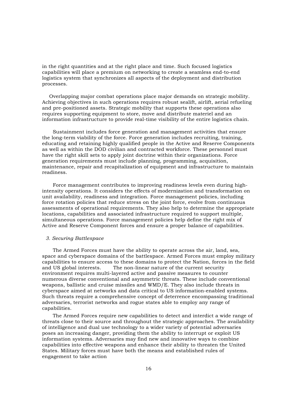in the right quantities and at the right place and time. Such focused logistics capabilities will place a premium on networking to create a seamless end-to-end logistics system that synchronizes all aspects of the deployment and distribution processes.

Overlapping major combat operations place major demands on strategic mobility. Achieving objectives in such operations requires robust sealift, airlift, aerial refueling and pre-positioned assets. Strategic mobility that supports these operations also requires supporting equipment to store, move and distribute materiel and an information infrastructure to provide real-time visibility of the entire logistics chain.

Sustainment includes force generation and management activities that ensure the long-term viability of the force. Force generation includes recruiting, training, educating and retaining highly qualified people in the Active and Reserve Components as well as within the DOD civilian and contracted workforce. These personnel must have the right skill sets to apply joint doctrine within their organizations. Force generation requirements must include planning, programming, acquisition, maintenance, repair and recapitalization of equipment and infrastructure to maintain readiness.

Force management contributes to improving readiness levels even during highintensity operations. It considers the effects of modernization and transformation on unit availability, readiness and integration. Force management policies, including force rotation policies that reduce stress on the joint force, evolve from continuous assessments of operational requirements. They also help to determine the appropriate locations, capabilities and associated infrastructure required to support multiple, simultaneous operations. Force management policies help define the right mix of Active and Reserve Component forces and ensure a proper balance of capabilities.

#### *3. Securing Battlespace*

The Armed Forces must have the ability to operate across the air, land, sea, space and cyberspace domains of the battlespace. Armed Forces must employ military capabilities to ensure access to these domains to protect the Nation, forces in the field and US global interests. The non-linear nature of the current security environment requires multi-layered active and passive measures to counter numerous diverse conventional and asymmetric threats. These include conventional weapons, ballistic and cruise missiles and WMD/E. They also include threats in cyberspace aimed at networks and data critical to US information-enabled systems. Such threats require a comprehensive concept of deterrence encompassing traditional adversaries, terrorist networks and rogue states able to employ any range of capabilities.

The Armed Forces require new capabilities to detect and interdict a wide range of threats close to their source and throughout the strategic approaches. The availability of intelligence and dual use technology to a wider variety of potential adversaries poses an increasing danger, providing them the ability to interrupt or exploit US information systems. Adversaries may find new and innovative ways to combine capabilities into effective weapons and enhance their ability to threaten the United States. Military forces must have both the means and established rules of engagement to take action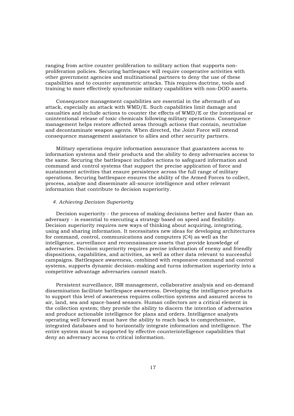ranging from active counter proliferation to military action that supports nonproliferation policies. Securing battlespace will require cooperative activities with other government agencies and multinational partners to deny the use of these capabilities and to counter asymmetric attacks. This requires doctrine, tools and training to more effectively synchronize military capabilities with non-DOD assets.

Consequence management capabilities are essential in the aftermath of an attack, especially an attack with WMD/E. Such capabilities limit damage and casualties and include actions to counter the effects of WMD/E or the intentional or unintentional release of toxic chemicals following military operations. Consequence management helps restore affected areas through actions that contain, neutralize and decontaminate weapon agents. When directed, the Joint Force will extend consequence management assistance to allies and other security partners.

Military operations require information assurance that guarantees access to information systems and their products and the ability to deny adversaries access to the same. Securing the battlespace includes actions to safeguard information and command and control systems that support the precise application of force and sustainment activities that ensure persistence across the full range of military operations. Securing battlespace ensures the ability of the Armed Forces to collect, process, analyze and disseminate all-source intelligence and other relevant information that contribute to decision superiority.

#### *4. Achieving Decision Superiority*

Decision superiority - the process of making decisions better and faster than an adversary - is essential to executing a strategy based on speed and flexibility. Decision superiority requires new ways of thinking about acquiring, integrating, using and sharing information. It necessitates new ideas for developing architectures for command, control, communications and computers (C4) as well as the intelligence, surveillance and reconnaissance assets that provide knowledge of adversaries. Decision superiority requires precise information of enemy and friendly dispositions, capabilities, and activities, as well as other data relevant to successful campaigns. Battlespace awareness, combined with responsive command and control systems, supports dynamic decision-making and turns information superiority into a competitive advantage adversaries cannot match.

Persistent surveillance, ISR management, collaborative analysis and on-demand dissemination facilitate battlespace awareness. Developing the intelligence products to support this level of awareness requires collection systems and assured access to air, land, sea and space-based sensors. Human collectors are a critical element in the collection system; they provide the ability to discern the intention of adversaries and produce actionable intelligence for plans and orders. Intelligence analysts operating well forward must have the ability to reach back to comprehensive, integrated databases and to horizontally integrate information and intelligence. The entire system must be supported by effective counterintelligence capabilities that deny an adversary access to critical information.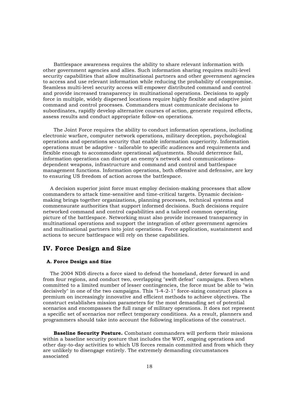Battlespace awareness requires the ability to share relevant information with other government agencies and allies. Such information sharing requires multi-level security capabilities that allow multinational partners and other government agencies to access and use relevant information while reducing the probability of compromise. Seamless multi-level security access will empower distributed command and control and provide increased transparency in multinational operations. Decisions to apply force in multiple, widely dispersed locations require highly flexible and adaptive joint command and control processes. Commanders must communicate decisions to subordinates, rapidly develop alternative courses of action, generate required effects, assess results and conduct appropriate follow-on operations.

The Joint Force requires the ability to conduct information operations, including electronic warfare, computer network operations, military deception, psychological operations and operations security that enable information superiority. Information operations must be adaptive - tailorable to specific audiences and requirements and flexible enough to accommodate operational adjustments. Should deterrence fail, information operations can disrupt an enemy's network and communicationsdependent weapons, infrastructure and command and control and battlespace management functions. Information operations, both offensive and defensive, are key to ensuring US freedom of action across the battlespace.

A decision superior joint force must employ decision-making processes that allow commanders to attack time-sensitive and time-critical targets. Dynamic decisionmaking brings together organizations, planning processes, technical systems and commensurate authorities that support informed decisions. Such decisions require networked command and control capabilities and a tailored common operating picture of the battlespace. Networking must also provide increased transparency in multinational operations and support the integration of other government agencies and multinational partners into joint operations. Force application, sustainment and actions to secure battlespace will rely on these capabilities.

# **IV. Force Design and Size**

#### **A. Force Design and Size**

The 2004 NDS directs a force sized to defend the homeland, deter forward in and from four regions, and conduct two, overlapping "swift defeat" campaigns. Even when committed to a limited number of lesser contingencies, the force must be able to "win decisively" in one of the two campaigns. This "l-4-2-1" force-sizing construct places a premium on increasingly innovative and efficient methods to achieve objectives. The construct establishes mission parameters for the most demanding set of potential scenarios and encompasses the full range of military operations. It does not represent a specific set of scenarios nor reflect temporary conditions. As a result, planners and programmers should take into account the following implications of the construct.

**Baseline Security Posture.** Combatant commanders will perform their missions within a baseline security posture that includes the WOT, ongoing operations and other day-to-day activities to which US forces remain committed and from which they are unlikely to disengage entirely. The extremely demanding circumstances associated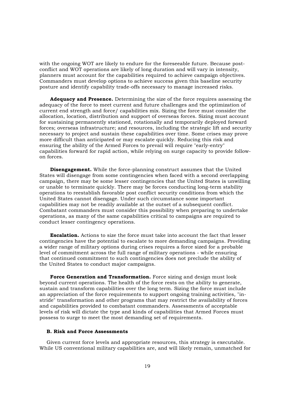with the ongoing WOT are likely to endure for the foreseeable future. Because postconflict and WOT operations are likely of long duration and will vary in intensity, planners must account for the capabilities required to achieve campaign objectives. Commanders must develop options to achieve success given this baseline security posture and identify capability trade-offs necessary to manage increased risks.

**Adequacy and Presence.** Determining the size of the force requires assessing the adequacy of the force to meet current and future challenges and the optimization of current end strength and force/ capabilities mix. Sizing the force must consider the allocation, location, distribution and support of overseas forces. Sizing must account for sustaining permanently stationed, rotationally and temporarily deployed forward forces; overseas infrastructure; and resources, including the strategic lift and security necessary to project and sustain these capabilities over time. Some crises may prove more difficult than anticipated or may escalate quickly. Reducing this risk and ensuring the ability of the Armed Forces to prevail will require "early-entry" capabilities forward for rapid action, while relying on surge capacity to provide followon forces.

**Disengagement.** While the force-planning construct assumes that the United States will disengage from some contingencies when faced with a second overlapping campaign, there may be some lesser contingencies that the United States is unwilling or unable to terminate quickly. There may be forces conducting long-term stability operations to reestablish favorable post conflict security conditions from which the United States cannot disengage. Under such circumstance some important capabilities may not be readily available at the outset of a subsequent conflict. Combatant commanders must consider this possibility when preparing to undertake operations, as many of the same capabilities critical to campaigns are required to conduct lesser contingency operations.

**Escalation.** Actions to size the force must take into account the fact that lesser contingencies have the potential to escalate to more demanding campaigns. Providing a wider range of military options during crises requires a force sized for a probable level of commitment across the full range of military operations - while ensuring that continued commitment to such contingencies does not preclude the ability of the United States to conduct major campaigns.

**Force Generation and Transformation.** Force sizing and design must look beyond current operations. The health of the force rests on the ability to generate, sustain and transform capabilities over the long term. Sizing the force must include an appreciation of the force requirements to support ongoing training activities, "instride" transformation and other programs that may restrict the availability of forces and capabilities provided to combatant commanders. Assessments of acceptable levels of risk will dictate the type and kinds of capabilities that Armed Forces must possess to surge to meet the most demanding set of requirements.

#### **B. Risk and Force Assessments**

Given current force levels and appropriate resources, this strategy is executable. While US conventional military capabilities are, and will likely remain, unmatched for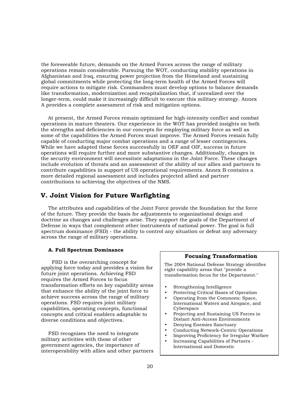the foreseeable future, demands on the Armed Forces across the range of military operations remain considerable. Pursuing the WOT, conducting stability operations in Afghanistan and Iraq, ensuring power projection from the Homeland and sustaining global commitments while protecting the long-term health of the Armed Forces will require actions to mitigate risk. Commanders must develop options to balance demands like transformation, modernization and recapitalization that, if unrealized over the longer-term, could make it increasingly difficult to execute this military strategy. Annex A provides a complete assessment of risk and mitigation options.

At present, the Armed Forces remain optimized for high-intensity conflict and combat operations in mature theaters. Our experience in the WOT has provided insights on both the strengths and deficiencies in our concepts for employing military force as well as some of the capabilities the Armed Forces must improve. The Armed Forces remain fully capable of conducting major combat operations and a range of lesser contingencies. While we have adapted these forces successfully in OEF and OIF, success in future operations will require further and more substantive changes. Additionally, changes in the security environment will necessitate adaptations in the Joint Force. These changes include evolution of threats and an assessment of the ability of our allies and partners to contribute capabilities in support of US operational requirements. Annex B contains a more detailed regional assessment and includes projected allied and partner contributions to achieving the objectives of the NMS.

# **V. Joint Vision for Future Warfighting**

The attributes and capabilities of the Joint Force provide the foundation for the force of the future. They provide the basis for adjustments to organizational design and doctrine as changes and challenges arise. They support the goals of the Department of Defense in ways that complement other instruments of national power. The goal is full spectrum dominance (FSD) - the ability to control any situation or defeat any adversary across the range of military operations.

#### **A. Full Spectrum Dominance**

FSD is the overarching concept for applying force today and provides a vision for future joint operations. Achieving FSD requires the Armed Forces to focus transformation efforts on key capability areas that enhance the ability of the joint force to achieve success across the range of military operations. FSD requires joint military capabilities, operating concepts, functional concepts and critical enablers adaptable to diverse conditions and objectives.

FSD recognizes the need to integrate military activities with those of other government agencies, the importance of interoperability with allies and other partners

#### **Focusing Transformation**

The 2004 National Defense Strategy identifies eight capability areas that "provide a transformation focus for the Department."

- Strengthening Intelligence
- Protecting Critical Bases of Operation
- Operating from the Commons: Space, International Waters and Airspace, and Cyberspace
- Projecting and Sustaining US Forces in Distant Anti-Access Environments
- Denying Enemies Sanctuary
- Conducting Network-Centric Operations
- Improving Proficiency for Irregular Warfare
- Increasing Capabilities of Partners International and Domestic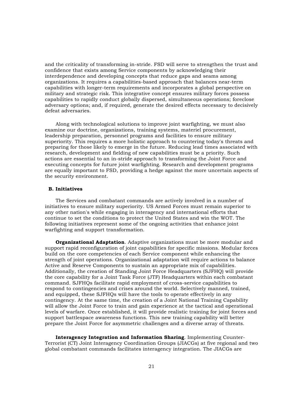and the criticality of transforming in-stride. FSD will serve to strengthen the trust and confidence that exists among Service components by acknowledging their interdependence and developing concepts that reduce gaps and seams among organizations. It requires a capabilities-based approach that balances near-term capabilities with longer-term requirements and incorporates a global perspective on military and strategic risk. This integrative concept ensures military forces possess capabilities to rapidly conduct globally dispersed, simultaneous operations; foreclose adversary options; and, if required, generate the desired effects necessary to decisively defeat adversaries.

Along with technological solutions to improve joint warfighting, we must also examine our doctrine, organizations, training systems, materiel procurement, leadership preparation, personnel programs and facilities to ensure military superiority. This requires a more holistic approach to countering today's threats and preparing for those likely to emerge in the future. Reducing lead times associated with research, development and fielding of new capabilities must be a priority. Such actions are essential to an in-stride approach to transforming the Joint Force and executing concepts for future joint warfighting. Research and development programs are equally important to FSD, providing a hedge against the more uncertain aspects of the security environment.

#### **B. Initiatives**

The Services and combatant commands are actively involved in a number of initiatives to ensure military superiority. US Armed Forces must remain superior to any other nation's while engaging in interagency and international efforts that continue to set the conditions to protect the United States and win the WOT. The following initiatives represent some of the ongoing activities that enhance joint warfighting and support transformation.

**Organizational Adaptation**. Adaptive organizations must be more modular and support rapid reconfiguration of joint capabilities for specific missions. Modular forces build on the core competencies of each Service component while enhancing the strength of joint operations. Organizational adaptation will require actions to balance Active and Reserve Components to sustain an appropriate mix of capabilities. Additionally, the creation of Standing Joint Force Headquarters (SJFHQ) will provide the core capability for a Joint Task Force (JTF) Headquarters within each combatant command. SJFHQs facilitate rapid employment of cross-service capabilities to respond to contingencies and crises around the world. Selectively manned, trained, and equipped, these SJFHQs will have the tools to operate effectively in any contingency. At the same time, the creation of a Joint National Training Capability will allow the Joint Force to train and gain experience at the tactical and operational levels of warfare. Once established, it will provide realistic training for joint forces and support battlespace awareness functions. This new training capability will better prepare the Joint Force for asymmetric challenges and a diverse array of threats.

**Interagency Integration and Information Sharing**. Implementing Counter-Terrorist (CT) Joint Interagency Coordination Groups (JIACGs) at five regional and two global combatant commands facilitates interagency integration. The JIACGs are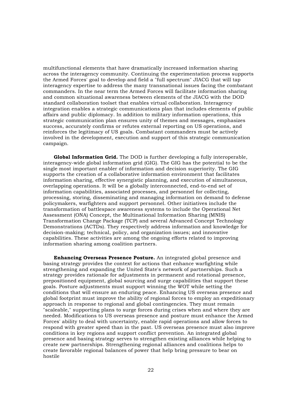multifunctional elements that have dramatically increased information sharing across the interagency community. Continuing the experimentation process supports the Armed Forces' goal to develop and field a "full spectrum" JIACG that will tap interagency expertise to address the many transnational issues facing the combatant commanders. In the near term the Armed Forces will facilitate information sharing and common situational awareness between elements of the JIACG with the DOD standard collaboration toolset that enables virtual collaboration. Interagency integration enables a strategic communications plan that includes elements of public affairs and public diplomacy. In addition to military information operations, this strategic communication plan ensures unity of themes and messages, emphasizes success, accurately confirms or refutes external reporting on US operations, and reinforces the legitimacy of US goals. Combatant commanders must be actively involved in the development, execution and support of this strategic communication campaign.

**Global Information Grid.** The DOD is further developing a fully interoperable, interagency-wide global information grid (GIG). The GIG has the potential to be the single most important enabler of information and decision superiority. The GIG supports the creation of a collaborative information environment that facilitates information sharing, effective synergistic planning, and execution of simultaneous, overlapping operations. It will be a globally interconnected, end-to-end set of information capabilities, associated processes, and personnel for collecting, processing, storing, disseminating and managing information on demand to defense policymakers, warfighters and support personnel. Other initiatives include the transformation of battlespace awareness systems to include the Operational Net Assessment (ONA) Concept, the Multinational Information Sharing (MNIS) Transformation Change Package (TCP) and several Advanced Concept Technology Demonstrations (ACTDs). They respectively address information and knowledge for decision-making; technical, policy, and organization issues; and innovative capabilities. These activities are among the ongoing efforts related to improving information sharing among coalition partners.

**Enhancing Overseas Presence Posture.** An integrated global presence and basing strategy provides the context for actions that enhance warfighting while strengthening and expanding the United State's network of partnerships. Such a strategy provides rationale for adjustments in permanent and rotational presence, prepositioned equipment, global sourcing and surge capabilities that support these goals. Posture adjustments must support winning the WOT while setting the conditions that will ensure an enduring peace. Enhancing US overseas presence and global footprint must improve the ability of regional forces to employ an expeditionary approach in response to regional and global contingencies. They must remain "scaleable," supporting plans to surge forces during crises when and where they are needed. Modifications to US overseas presence and posture must enhance the Armed Forces' ability to deal with uncertainty, enable rapid operations and allow forces to respond with greater speed than in the past. US overseas presence must also improve conditions in key regions and support conflict prevention. An integrated global presence and basing strategy serves to strengthen existing alliances while helping to create new partnerships. Strengthening regional alliances and coalitions helps to create favorable regional balances of power that help bring pressure to bear on hostile